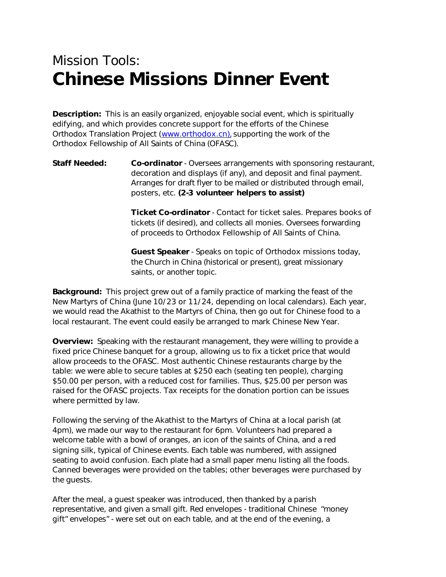## *Mission Tools:* **Chinese Missions Dinner Event**

**Description:** This is an easily organized, enjoyable social event, which is spiritually edifying, and which provides concrete support for the efforts of the Chinese Orthodox Translation Project (www.orthodox.cn), supporting the work of the Orthodox Fellowship of All Saints of China (OFASC).

## **Staff Needed: Co-ordinator** - Oversees arrangements with sponsoring restaurant, decoration and displays (if any), and deposit and final payment. Arranges for draft flyer to be mailed or distributed through email, posters, etc. *(2-3 volunteer helpers to assist)*

**Ticket Co-ordinator** - Contact for ticket sales. Prepares books of tickets (if desired), and collects all monies. Oversees forwarding of proceeds to Orthodox Fellowship of All Saints of China.

**Guest Speaker** - Speaks on topic of Orthodox missions today, the Church in China (historical or present), great missionary saints, or another topic.

**Background:** This project grew out of a family practice of marking the feast of the New Martyrs of China (June 10/23 or 11/24, depending on local calendars). Each year, we would read the Akathist to the Martyrs of China, then go out for Chinese food to a local restaurant. The event could easily be arranged to mark Chinese New Year.

**Overview:** Speaking with the restaurant management, they were willing to provide a fixed price Chinese banquet for a group, allowing us to fix a ticket price that would allow proceeds to the OFASC. Most authentic Chinese restaurants charge by the table: we were able to secure tables at \$250 each (seating ten people), charging \$50.00 per person, with a reduced cost for families. Thus, \$25.00 per person was raised for the OFASC projects. Tax receipts for the donation portion can be issues where permitted by law.

Following the serving of the Akathist to the Martyrs of China at a local parish (at 4pm), we made our way to the restaurant for 6pm. Volunteers had prepared a welcome table with a bowl of oranges, an icon of the saints of China, and a red signing silk, typical of Chinese events. Each table was numbered, with assigned seating to avoid confusion. Each plate had a small paper menu listing all the foods. Canned beverages were provided on the tables; other beverages were purchased by the guests.

After the meal, a guest speaker was introduced, then thanked by a parish representative, and given a small gift. Red envelopes - traditional Chinese "money gift" envelopes" - were set out on each table, and at the end of the evening, a